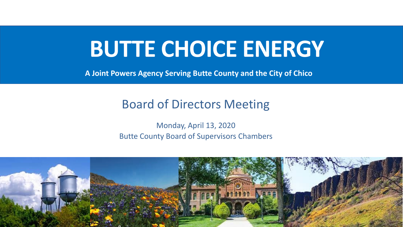# **BUTTE CHOICE ENERGY**

**A Joint Powers Agency Serving Butte County and the City of Chico**

# Board of Directors Meeting

Monday, April 13, 2020 Butte County Board of Supervisors Chambers

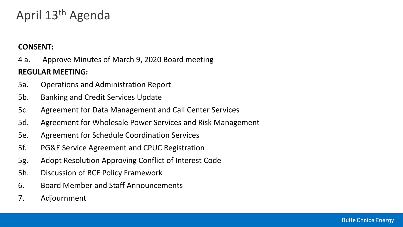#### **CONSENT:**

4 a. Approve Minutes of March 9, 2020 Board meeting **REGULAR MEETING:**

- 5a. Operations and Administration Report
- 5b. Banking and Credit Services Update
- 5c. Agreement for Data Management and Call Center Services
- 5d. Agreement for Wholesale Power Services and Risk Management
- 5e. Agreement for Schedule Coordination Services
- 5f. PG&E Service Agreement and CPUC Registration
- 5g. Adopt Resolution Approving Conflict of Interest Code
- 5h. Discussion of BCE Policy Framework
- 6. Board Member and Staff Announcements
- 7. Adjournment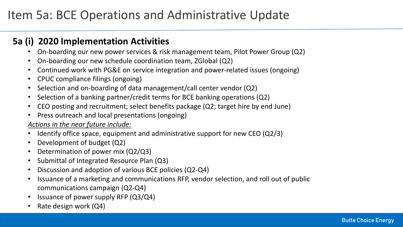### **5a (i) 2020 Implementation Activities**

- On-boarding our new power services & risk management team, Pilot Power Group (Q2)
- On-boarding our new schedule coordination team, ZGlobal (Q2)
- Continued work with PG&E on service integration and power-related issues (ongoing)
- CPUC compliance filings (ongoing)
- Selection and on-boarding of data management/call center vendor (Q2)
- Selection of a banking partner/credit terms for BCE banking operations (Q2)
- CEO posting and recruitment; select benefits package (Q2; target hire by end June)
- Press outreach and local presentations (ongoing)

#### *Actions in the near future include:*

- Identify office space, equipment and administrative support for new CEO (Q2/3)
- Development of budget (Q2)
- Determination of power mix (Q2/Q3)
- Submittal of Integrated Resource Plan (Q3)
- Discussion and adoption of various BCE policies (Q2-Q4)
- Issuance of a marketing and communications RFP, vendor selection, and roll out of public communications campaign (Q2-Q4)
- Issuance of power supply RFP (Q3/Q4)
- Rate design work (Q4)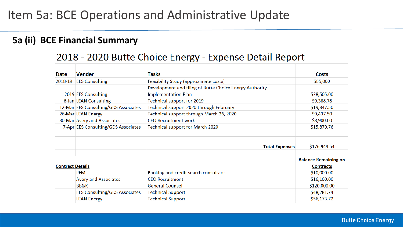### **5a (ii) BCE Financial Summary**

### 2018 - 2020 Butte Choice Energy - Expense Detail Report

| Date                    | <b>Vender</b>                        | Tasks                                                   | Costs                       |
|-------------------------|--------------------------------------|---------------------------------------------------------|-----------------------------|
|                         | 2018-19 EES Consulting               | Feasibility Study (approximate costs)                   | \$85,000                    |
|                         |                                      | Development and filing of Butte Choice Energy Authority |                             |
|                         | 2019 EES Consulting                  | <b>Implementation Plan</b>                              | \$28,505.00                 |
|                         | 6-Jan LEAN Consulting                | Technical support for 2019                              | \$9,388.78                  |
|                         | 12-Mar EES Consulting/GDS Associates | Technical support 2020 through February                 | \$19,847.50                 |
|                         | 26-Mar LEAN Energy                   | Technical support through March 26, 2020                | \$9,437.50                  |
|                         | 30-Mar Avery and Associates          | <b>CEO Recruitment work</b>                             | \$8,900.00                  |
|                         | 7-Apr EES Consulting/GDS Associates  | Technical support for March 2020                        | \$15,870.76                 |
|                         |                                      |                                                         |                             |
|                         |                                      |                                                         |                             |
|                         |                                      | <b>Total Expenses</b>                                   | \$176,949.54                |
|                         |                                      |                                                         |                             |
|                         |                                      |                                                         | <b>Balance Remaining on</b> |
| <b>Contract Details</b> |                                      |                                                         | <b>Contracts</b>            |
|                         | <b>PFM</b>                           | Banking and credit search consultant                    | \$10,000.00                 |
|                         | <b>Avery and Associates</b>          | <b>CEO Recruitment</b>                                  | \$16,100.00                 |
|                         | <b>BB&amp;K</b>                      | <b>General Counsel</b>                                  | \$120,000.00                |
|                         | <b>EES Consulting/GDS Associates</b> | <b>Technical Support</b>                                | \$48,281.74                 |
|                         | <b>LEAN Energy</b>                   | <b>Technical Support</b>                                | \$56,173.72                 |
|                         |                                      |                                                         |                             |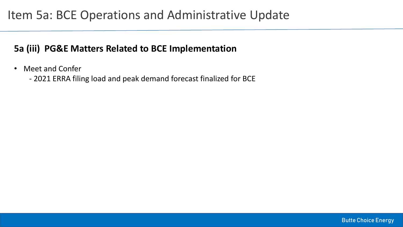### **5a (iii) PG&E Matters Related to BCE Implementation**

• Meet and Confer

- 2021 ERRA filing load and peak demand forecast finalized for BCE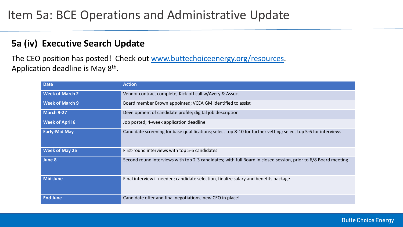### **5a (iv) Executive Search Update**

The CEO position has posted! Check out [www.buttechoiceenergy.org/resources](http://www.buttechoiceenergy.org/resources). Application deadline is May 8<sup>th</sup>.

| <b>Date</b>            | <b>Action</b>                                                                                                   |
|------------------------|-----------------------------------------------------------------------------------------------------------------|
| <b>Week of March 2</b> | Vendor contract complete; Kick-off call w/Avery & Assoc.                                                        |
| <b>Week of March 9</b> | Board member Brown appointed; VCEA GM identified to assist                                                      |
| <b>March 9-27</b>      | Development of candidate profile; digital job description                                                       |
| <b>Week of April 6</b> | Job posted; 4-week application deadline                                                                         |
| <b>Early-Mid May</b>   | Candidate screening for base qualifications; select top 8-10 for further vetting; select top 5-6 for interviews |
| <b>Week of May 25</b>  | First-round interviews with top 5-6 candidates                                                                  |
| June 8                 | Second round interviews with top 2-3 candidates; with full Board in closed session, prior to 6/8 Board meeting  |
| <b>Mid-June</b>        | Final interview if needed; candidate selection, finalize salary and benefits package                            |
| <b>End June</b>        | Candidate offer and final negotiations; new CEO in place!                                                       |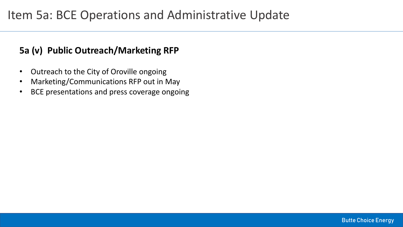### **5a (v) Public Outreach/Marketing RFP**

- Outreach to the City of Oroville ongoing
- Marketing/Communications RFP out in May
- BCE presentations and press coverage ongoing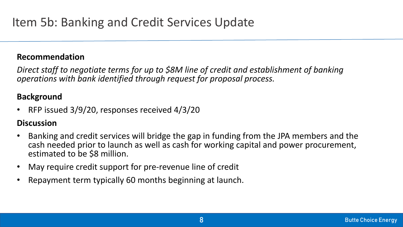*Direct staff to negotiate terms for up to \$8M line of credit and establishment of banking operations with bank identified through request for proposal process.*

### **Background**

• RFP issued 3/9/20, responses received 4/3/20

### **Discussion**

- Banking and credit services will bridge the gap in funding from the JPA members and the cash needed prior to launch as well as cash for working capital and power procurement, estimated to be \$8 million.
- May require credit support for pre-revenue line of credit
- Repayment term typically 60 months beginning at launch.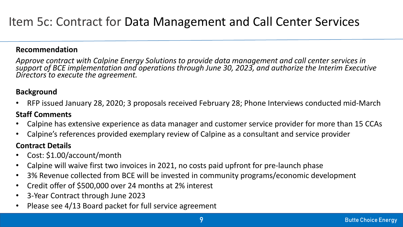*Approve contract with Calpine Energy Solutions to provide data management and call center services in*  support of BCE implementation and operations through June 30, 2023, and authorize the Interim Executive *Directors to execute the agreement.*

#### **Background**

• RFP issued January 28, 2020; 3 proposals received February 28; Phone Interviews conducted mid-March

#### **Staff Comments**

- Calpine has extensive experience as data manager and customer service provider for more than 15 CCAs
- Calpine's references provided exemplary review of Calpine as a consultant and service provider

#### **Contract Details**

- Cost: \$1.00/account/month
- Calpine will waive first two invoices in 2021, no costs paid upfront for pre-launch phase
- 3% Revenue collected from BCE will be invested in community programs/economic development
- Credit offer of \$500,000 over 24 months at 2% interest
- 3-Year Contract through June 2023
- Please see 4/13 Board packet for full service agreement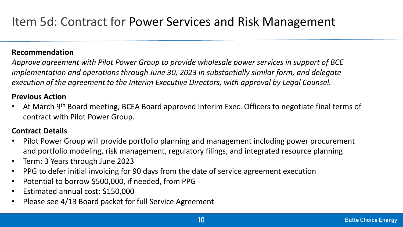*Approve agreement with Pilot Power Group to provide wholesale power services in support of BCE implementation and operations through June 30, 2023 in substantially similar form, and delegate execution of the agreement to the Interim Executive Directors, with approval by Legal Counsel.*

#### **Previous Action**

At March 9<sup>th</sup> Board meeting, BCEA Board approved Interim Exec. Officers to negotiate final terms of contract with Pilot Power Group.

#### **Contract Details**

- Pilot Power Group will provide portfolio planning and management including power procurement and portfolio modeling, risk management, regulatory filings, and integrated resource planning
- Term: 3 Years through June 2023
- PPG to defer initial invoicing for 90 days from the date of service agreement execution
- Potential to borrow \$500,000, if needed, from PPG
- Estimated annual cost: \$150,000
- Please see 4/13 Board packet for full Service Agreement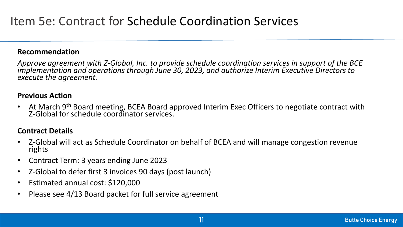*Approve agreement with Z-Global, Inc. to provide schedule coordination services in support of the BCE implementation and operations through June 30, 2023, and authorize Interim Executive Directors to execute the agreement.*

#### **Previous Action**

• At March 9<sup>th</sup> Board meeting, BCEA Board approved Interim Exec Officers to negotiate contract with Z-Global for schedule coordinator services.

#### **Contract Details**

- Z-Global will act as Schedule Coordinator on behalf of BCEA and will manage congestion revenue rights
- Contract Term: 3 years ending June 2023
- Z-Global to defer first 3 invoices 90 days (post launch)
- Estimated annual cost: \$120,000
- Please see 4/13 Board packet for full service agreement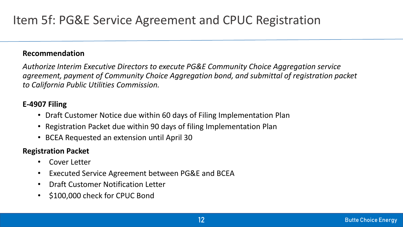*Authorize Interim Executive Directors to execute PG&E Community Choice Aggregation service agreement, payment of Community Choice Aggregation bond, and submittal of registration packet to California Public Utilities Commission.*

#### **E-4907 Filing**

- Draft Customer Notice due within 60 days of Filing Implementation Plan
- Registration Packet due within 90 days of filing Implementation Plan
- BCEA Requested an extension until April 30

#### **Registration Packet**

- Cover Letter
- Executed Service Agreement between PG&E and BCEA
- Draft Customer Notification Letter
- \$100,000 check for CPUC Bond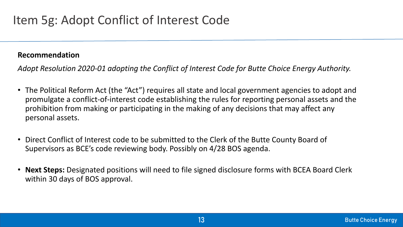# Item 5g: Adopt Conflict of Interest Code

#### **Recommendation**

*Adopt Resolution 2020-01 adopting the Conflict of Interest Code for Butte Choice Energy Authority.*

- The Political Reform Act (the "Act") requires all state and local government agencies to adopt and promulgate a conflict-of-interest code establishing the rules for reporting personal assets and the prohibition from making or participating in the making of any decisions that may affect any personal assets.
- Direct Conflict of Interest code to be submitted to the Clerk of the Butte County Board of Supervisors as BCE's code reviewing body. Possibly on 4/28 BOS agenda.
- **Next Steps:** Designated positions will need to file signed disclosure forms with BCEA Board Clerk within 30 days of BOS approval.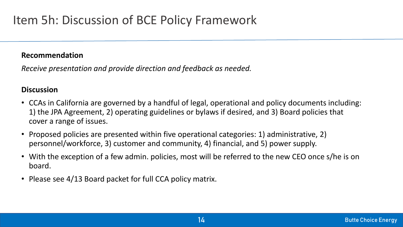# Item 5h: Discussion of BCE Policy Framework

#### **Recommendation**

*Receive presentation and provide direction and feedback as needed.*

#### **Discussion**

- CCAs in California are governed by a handful of legal, operational and policy documents including: 1) the JPA Agreement, 2) operating guidelines or bylaws if desired, and 3) Board policies that cover a range of issues.
- Proposed policies are presented within five operational categories: 1) administrative, 2) personnel/workforce, 3) customer and community, 4) financial, and 5) power supply.
- With the exception of a few admin. policies, most will be referred to the new CEO once s/he is on board.
- Please see 4/13 Board packet for full CCA policy matrix.